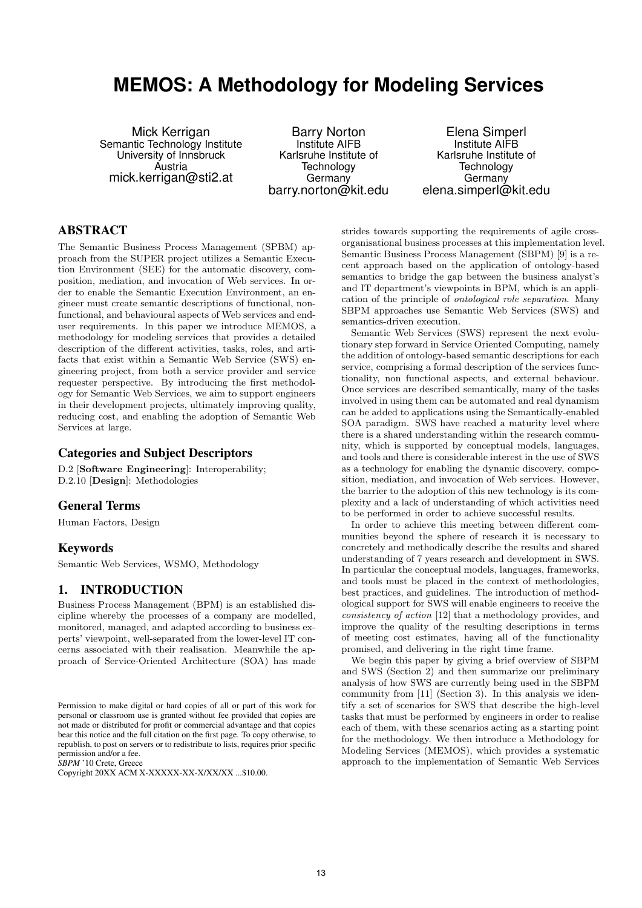# **MEMOS: A Methodology for Modeling Services**

Mick Kerrigan Semantic Technology Institute University of Innsbruck Austria mick.kerrigan@sti2.at

Barry Norton Institute AIFB Karlsruhe Institute of **Technology** Germany barry.norton@kit.edu

Elena Simperl Institute AIFB Karlsruhe Institute of **Technology** Germany elena.simperl@kit.edu

## ABSTRACT

The Semantic Business Process Management (SPBM) approach from the SUPER project utilizes a Semantic Execution Environment (SEE) for the automatic discovery, composition, mediation, and invocation of Web services. In order to enable the Semantic Execution Environment, an engineer must create semantic descriptions of functional, nonfunctional, and behavioural aspects of Web services and enduser requirements. In this paper we introduce MEMOS, a methodology for modeling services that provides a detailed description of the different activities, tasks, roles, and artifacts that exist within a Semantic Web Service (SWS) engineering project, from both a service provider and service requester perspective. By introducing the first methodology for Semantic Web Services, we aim to support engineers in their development projects, ultimately improving quality, reducing cost, and enabling the adoption of Semantic Web Services at large.

#### Categories and Subject Descriptors

D.2 [Software Engineering]: Interoperability; D.2.10 [Design]: Methodologies

### General Terms

Human Factors, Design

#### Keywords

Semantic Web Services, WSMO, Methodology

#### 1. INTRODUCTION

Business Process Management (BPM) is an established discipline whereby the processes of a company are modelled, monitored, managed, and adapted according to business experts' viewpoint, well-separated from the lower-level IT concerns associated with their realisation. Meanwhile the approach of Service-Oriented Architecture (SOA) has made

*SBPM* '10 Crete, Greece

strides towards supporting the requirements of agile crossorganisational business processes at this implementation level. Semantic Business Process Management (SBPM) [9] is a recent approach based on the application of ontology-based semantics to bridge the gap between the business analyst's and IT department's viewpoints in BPM, which is an application of the principle of ontological role separation. Many SBPM approaches use Semantic Web Services (SWS) and semantics-driven execution.

Semantic Web Services (SWS) represent the next evolutionary step forward in Service Oriented Computing, namely the addition of ontology-based semantic descriptions for each service, comprising a formal description of the services functionality, non functional aspects, and external behaviour. Once services are described semantically, many of the tasks involved in using them can be automated and real dynamism can be added to applications using the Semantically-enabled SOA paradigm. SWS have reached a maturity level where there is a shared understanding within the research community, which is supported by conceptual models, languages, and tools and there is considerable interest in the use of SWS as a technology for enabling the dynamic discovery, composition, mediation, and invocation of Web services. However, the barrier to the adoption of this new technology is its complexity and a lack of understanding of which activities need to be performed in order to achieve successful results.

In order to achieve this meeting between different communities beyond the sphere of research it is necessary to concretely and methodically describe the results and shared understanding of 7 years research and development in SWS. In particular the conceptual models, languages, frameworks, and tools must be placed in the context of methodologies, best practices, and guidelines. The introduction of methodological support for SWS will enable engineers to receive the consistency of action [12] that a methodology provides, and improve the quality of the resulting descriptions in terms of meeting cost estimates, having all of the functionality promised, and delivering in the right time frame.

We begin this paper by giving a brief overview of SBPM and SWS (Section 2) and then summarize our preliminary analysis of how SWS are currently being used in the SBPM community from [11] (Section 3). In this analysis we identify a set of scenarios for SWS that describe the high-level tasks that must be performed by engineers in order to realise each of them, with these scenarios acting as a starting point for the methodology. We then introduce a Methodology for Modeling Services (MEMOS), which provides a systematic approach to the implementation of Semantic Web Services

Permission to make digital or hard copies of all or part of this work for personal or classroom use is granted without fee provided that copies are not made or distributed for profit or commercial advantage and that copies bear this notice and the full citation on the first page. To copy otherwise, to republish, to post on servers or to redistribute to lists, requires prior specific permission and/or a fee.

Copyright 20XX ACM X-XXXXX-XX-X/XX/XX ...\$10.00.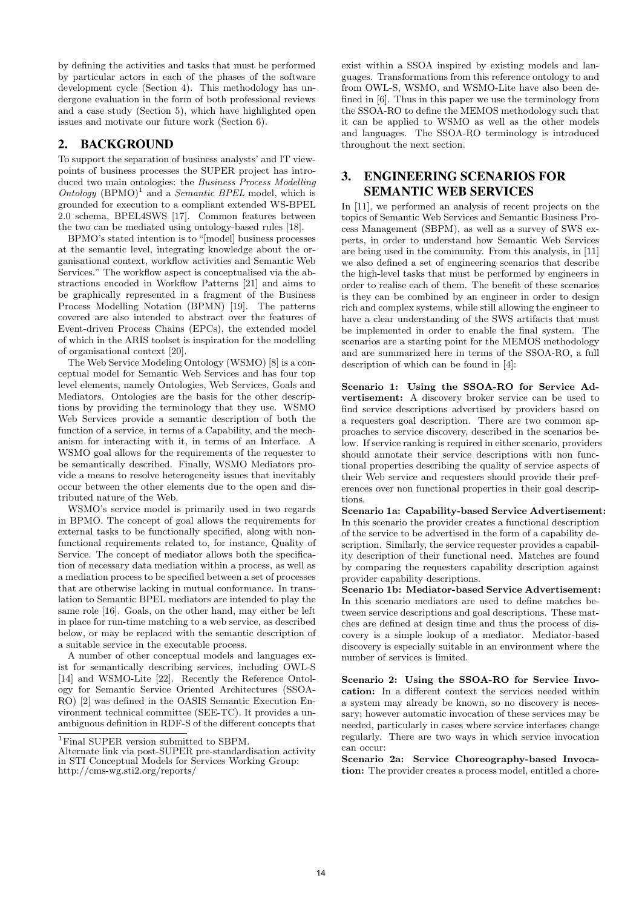by defining the activities and tasks that must be performed by particular actors in each of the phases of the software development cycle (Section 4). This methodology has undergone evaluation in the form of both professional reviews and a case study (Section 5), which have highlighted open issues and motivate our future work (Section 6).

## 2. BACKGROUND

To support the separation of business analysts' and IT viewpoints of business processes the SUPER project has introduced two main ontologies: the Business Process Modelling Ontology  $(BPMO)^1$  and a *Semantic BPEL* model, which is grounded for execution to a compliant extended WS-BPEL 2.0 schema, BPEL4SWS [17]. Common features between the two can be mediated using ontology-based rules [18].

BPMO's stated intention is to "[model] business processes at the semantic level, integrating knowledge about the organisational context, workflow activities and Semantic Web Services." The workflow aspect is conceptualised via the abstractions encoded in Workflow Patterns [21] and aims to be graphically represented in a fragment of the Business Process Modelling Notation (BPMN) [19]. The patterns covered are also intended to abstract over the features of Event-driven Process Chains (EPCs), the extended model of which in the ARIS toolset is inspiration for the modelling of organisational context [20].

The Web Service Modeling Ontology (WSMO) [8] is a conceptual model for Semantic Web Services and has four top level elements, namely Ontologies, Web Services, Goals and Mediators. Ontologies are the basis for the other descriptions by providing the terminology that they use. WSMO Web Services provide a semantic description of both the function of a service, in terms of a Capability, and the mechanism for interacting with it, in terms of an Interface. A WSMO goal allows for the requirements of the requester to be semantically described. Finally, WSMO Mediators provide a means to resolve heterogeneity issues that inevitably occur between the other elements due to the open and distributed nature of the Web.

WSMO's service model is primarily used in two regards in BPMO. The concept of goal allows the requirements for external tasks to be functionally specified, along with nonfunctional requirements related to, for instance, Quality of Service. The concept of mediator allows both the specification of necessary data mediation within a process, as well as a mediation process to be specified between a set of processes that are otherwise lacking in mutual conformance. In translation to Semantic BPEL mediators are intended to play the same role [16]. Goals, on the other hand, may either be left in place for run-time matching to a web service, as described below, or may be replaced with the semantic description of a suitable service in the executable process.

A number of other conceptual models and languages exist for semantically describing services, including OWL-S [14] and WSMO-Lite [22]. Recently the Reference Ontology for Semantic Service Oriented Architectures (SSOA-RO) [2] was defined in the OASIS Semantic Execution Environment technical committee (SEE-TC). It provides a unambiguous definition in RDF-S of the different concepts that exist within a SSOA inspired by existing models and languages. Transformations from this reference ontology to and from OWL-S, WSMO, and WSMO-Lite have also been defined in [6]. Thus in this paper we use the terminology from the SSOA-RO to define the MEMOS methodology such that it can be applied to WSMO as well as the other models and languages. The SSOA-RO terminology is introduced throughout the next section.

## 3. ENGINEERING SCENARIOS FOR SEMANTIC WEB SERVICES

In [11], we performed an analysis of recent projects on the topics of Semantic Web Services and Semantic Business Process Management (SBPM), as well as a survey of SWS experts, in order to understand how Semantic Web Services are being used in the community. From this analysis, in [11] we also defined a set of engineering scenarios that describe the high-level tasks that must be performed by engineers in order to realise each of them. The benefit of these scenarios is they can be combined by an engineer in order to design rich and complex systems, while still allowing the engineer to have a clear understanding of the SWS artifacts that must be implemented in order to enable the final system. The scenarios are a starting point for the MEMOS methodology and are summarized here in terms of the SSOA-RO, a full description of which can be found in [4]:

Scenario 1: Using the SSOA-RO for Service Advertisement: A discovery broker service can be used to find service descriptions advertised by providers based on a requesters goal description. There are two common approaches to service discovery, described in the scenarios below. If service ranking is required in either scenario, providers should annotate their service descriptions with non functional properties describing the quality of service aspects of their Web service and requesters should provide their preferences over non functional properties in their goal descriptions.

Scenario 1a: Capability-based Service Advertisement: In this scenario the provider creates a functional description of the service to be advertised in the form of a capability description. Similarly, the service requester provides a capability description of their functional need. Matches are found by comparing the requesters capability description against provider capability descriptions.

Scenario 1b: Mediator-based Service Advertisement: In this scenario mediators are used to define matches between service descriptions and goal descriptions. These matches are defined at design time and thus the process of discovery is a simple lookup of a mediator. Mediator-based discovery is especially suitable in an environment where the number of services is limited.

Scenario 2: Using the SSOA-RO for Service Invocation: In a different context the services needed within a system may already be known, so no discovery is necessary; however automatic invocation of these services may be needed, particularly in cases where service interfaces change regularly. There are two ways in which service invocation can occur:

Scenario 2a: Service Choreography-based Invocation: The provider creates a process model, entitled a chore-

<sup>&</sup>lt;sup>1</sup>Final SUPER version submitted to SBPM.

Alternate link via post-SUPER pre-standardisation activity in STI Conceptual Models for Services Working Group: http://cms-wg.sti2.org/reports/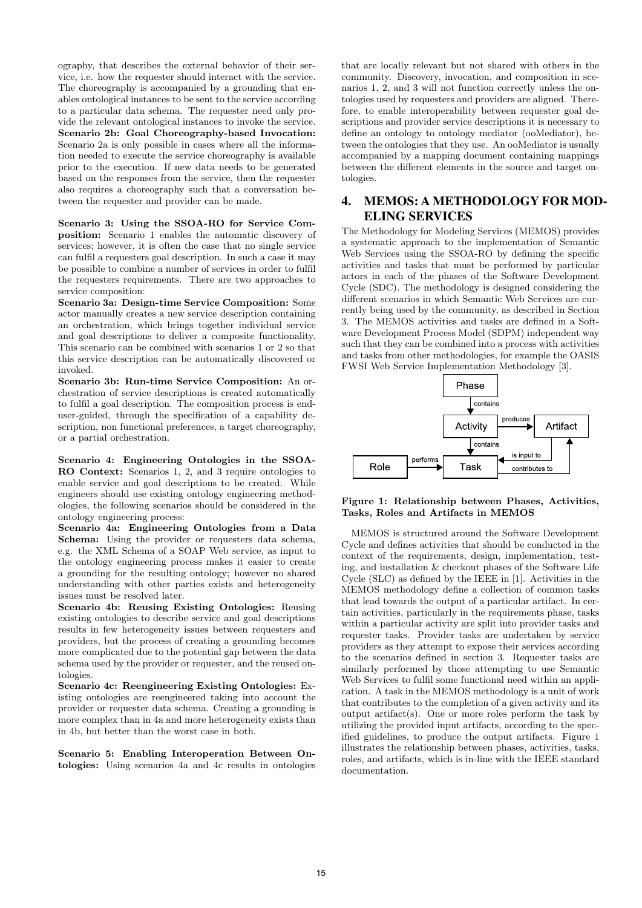ography, that describes the external behavior of their service, i.e. how the requester should interact with the service. The choreography is accompanied by a grounding that enables ontological instances to be sent to the service according to a particular data schema. The requester need only provide the relevant ontological instances to invoke the service. Scenario 2b: Goal Choreography-based Invocation: Scenario 2a is only possible in cases where all the information needed to execute the service choreography is available prior to the execution. If new data needs to be generated based on the responses from the service, then the requester also requires a choreography such that a conversation between the requester and provider can be made.

Scenario 3: Using the SSOA-RO for Service Composition: Scenario 1 enables the automatic discovery of services; however, it is often the case that no single service can fulfil a requesters goal description. In such a case it may be possible to combine a number of services in order to fulfil the requesters requirements. There are two approaches to service composition:

Scenario 3a: Design-time Service Composition: Some actor manually creates a new service description containing an orchestration, which brings together individual service and goal descriptions to deliver a composite functionality. This scenario can be combined with scenarios 1 or 2 so that this service description can be automatically discovered or invoked.

Scenario 3b: Run-time Service Composition: An orchestration of service descriptions is created automatically to fulfil a goal description. The composition process is enduser-guided, through the specification of a capability description, non functional preferences, a target choreography, or a partial orchestration.

Scenario 4: Engineering Ontologies in the SSOA-RO Context: Scenarios 1, 2, and 3 require ontologies to enable service and goal descriptions to be created. While engineers should use existing ontology engineering methodologies, the following scenarios should be considered in the ontology engineering process:

Scenario 4a: Engineering Ontologies from a Data Schema: Using the provider or requesters data schema, e.g. the XML Schema of a SOAP Web service, as input to the ontology engineering process makes it easier to create a grounding for the resulting ontology; however no shared understanding with other parties exists and heterogeneity issues must be resolved later.

Scenario 4b: Reusing Existing Ontologies: Reusing existing ontologies to describe service and goal descriptions results in few heterogeneity issues between requesters and providers, but the process of creating a grounding becomes more complicated due to the potential gap between the data schema used by the provider or requester, and the reused ontologies.

Scenario 4c: Reengineering Existing Ontologies: Existing ontologies are reengineered taking into account the provider or requester data schema. Creating a grounding is more complex than in 4a and more heterogeneity exists than in 4b, but better than the worst case in both.

Scenario 5: Enabling Interoperation Between Ontologies: Using scenarios 4a and 4c results in ontologies

that are locally relevant but not shared with others in the community. Discovery, invocation, and composition in scenarios 1, 2, and 3 will not function correctly unless the ontologies used by requesters and providers are aligned. Therefore, to enable interoperability between requester goal descriptions and provider service descriptions it is necessary to define an ontology to ontology mediator (ooMediator), between the ontologies that they use. An ooMediator is usually accompanied by a mapping document containing mappings between the different elements in the source and target ontologies.

# 4. MEMOS: A METHODOLOGY FOR MOD-ELING SERVICES

The Methodology for Modeling Services (MEMOS) provides a systematic approach to the implementation of Semantic Web Services using the SSOA-RO by defining the specific activities and tasks that must be performed by particular actors in each of the phases of the Software Development Cycle (SDC). The methodology is designed considering the different scenarios in which Semantic Web Services are currently being used by the community, as described in Section 3. The MEMOS activities and tasks are defined in a Software Development Process Model (SDPM) independent way such that they can be combined into a process with activities and tasks from other methodologies, for example the OASIS FWSI Web Service Implementation Methodology [3].



Figure 1: Relationship between Phases, Activities, Tasks, Roles and Artifacts in MEMOS

MEMOS is structured around the Software Development Cycle and defines activities that should be conducted in the context of the requirements, design, implementation, testing, and installation & checkout phases of the Software Life Cycle (SLC) as defined by the IEEE in [1]. Activities in the MEMOS methodology define a collection of common tasks that lead towards the output of a particular artifact. In certain activities, particularly in the requirements phase, tasks within a particular activity are split into provider tasks and requester tasks. Provider tasks are undertaken by service providers as they attempt to expose their services according to the scenarios defined in section 3. Requester tasks are similarly performed by those attempting to use Semantic Web Services to fulfil some functional need within an application. A task in the MEMOS methodology is a unit of work that contributes to the completion of a given activity and its output artifact(s). One or more roles perform the task by utilizing the provided input artifacts, according to the specified guidelines, to produce the output artifacts. Figure 1 illustrates the relationship between phases, activities, tasks, roles, and artifacts, which is in-line with the IEEE standard documentation.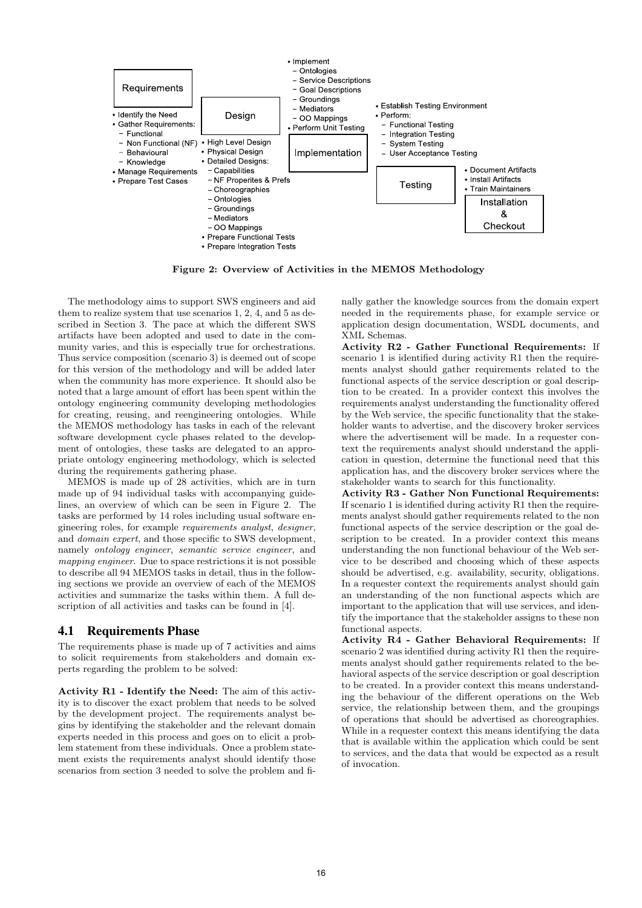

Figure 2: Overview of Activities in the MEMOS Methodology

The methodology aims to support SWS engineers and aid them to realize system that use scenarios 1, 2, 4, and 5 as described in Section 3. The pace at which the different SWS artifacts have been adopted and used to date in the community varies, and this is especially true for orchestrations. Thus service composition (scenario 3) is deemed out of scope for this version of the methodology and will be added later when the community has more experience. It should also be noted that a large amount of effort has been spent within the ontology engineering community developing methodologies for creating, reusing, and reengineering ontologies. While the MEMOS methodology has tasks in each of the relevant software development cycle phases related to the development of ontologies, these tasks are delegated to an appropriate ontology engineering methodology, which is selected during the requirements gathering phase.

MEMOS is made up of 28 activities, which are in turn made up of 94 individual tasks with accompanying guidelines, an overview of which can be seen in Figure 2. The tasks are performed by 14 roles including usual software engineering roles, for example  $requirements$  analyst, designer. and domain expert, and those specific to SWS development, namely ontology engineer, semantic service engineer, and mapping engineer. Due to space restrictions it is not possible to describe all 94 MEMOS tasks in detail, thus in the following sections we provide an overview of each of the MEMOS activities and summarize the tasks within them. A full description of all activities and tasks can be found in [4].

#### 4.1 Requirements Phase

The requirements phase is made up of 7 activities and aims to solicit requirements from stakeholders and domain experts regarding the problem to be solved:

Activity R1 - Identify the Need: The aim of this activity is to discover the exact problem that needs to be solved by the development project. The requirements analyst begins by identifying the stakeholder and the relevant domain experts needed in this process and goes on to elicit a problem statement from these individuals. Once a problem statement exists the requirements analyst should identify those scenarios from section 3 needed to solve the problem and finally gather the knowledge sources from the domain expert needed in the requirements phase, for example service or application design documentation, WSDL documents, and XML Schemas.

Activity R2 - Gather Functional Requirements: If scenario 1 is identified during activity R1 then the requirements analyst should gather requirements related to the functional aspects of the service description or goal description to be created. In a provider context this involves the requirements analyst understanding the functionality offered by the Web service, the specific functionality that the stakeholder wants to advertise, and the discovery broker services where the advertisement will be made. In a requester context the requirements analyst should understand the application in question, determine the functional need that this application has, and the discovery broker services where the stakeholder wants to search for this functionality.

Activity R3 - Gather Non Functional Requirements: If scenario 1 is identified during activity R1 then the requirements analyst should gather requirements related to the non functional aspects of the service description or the goal description to be created. In a provider context this means understanding the non functional behaviour of the Web service to be described and choosing which of these aspects should be advertised, e.g. availability, security, obligations. In a requester context the requirements analyst should gain an understanding of the non functional aspects which are important to the application that will use services, and identify the importance that the stakeholder assigns to these non functional aspects.

Activity R4 - Gather Behavioral Requirements: If scenario 2 was identified during activity R1 then the requirements analyst should gather requirements related to the behavioral aspects of the service description or goal description to be created. In a provider context this means understanding the behaviour of the different operations on the Web service, the relationship between them, and the groupings of operations that should be advertised as choreographies. While in a requester context this means identifying the data that is available within the application which could be sent to services, and the data that would be expected as a result of invocation.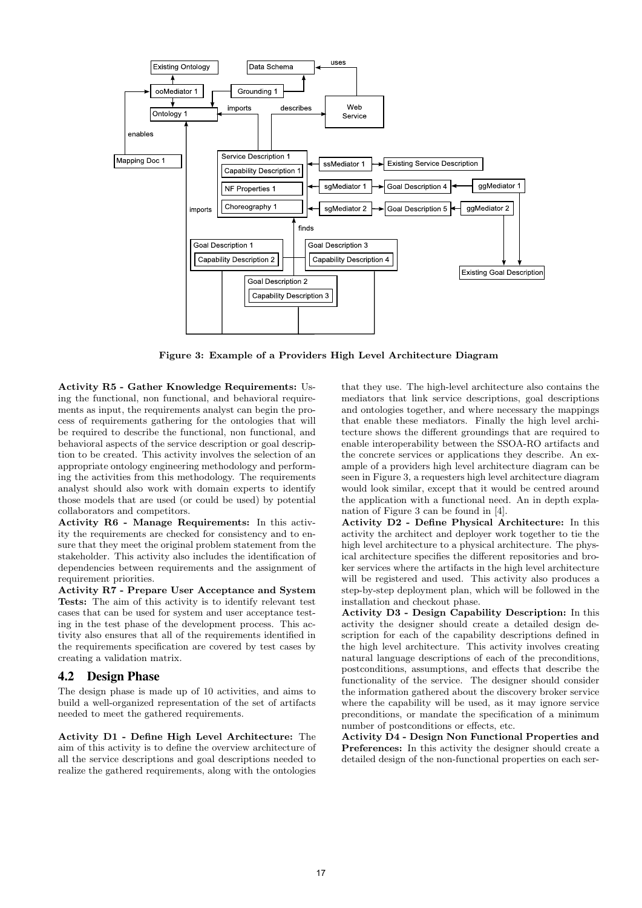

Figure 3: Example of a Providers High Level Architecture Diagram

Activity R5 - Gather Knowledge Requirements: Using the functional, non functional, and behavioral requirements as input, the requirements analyst can begin the process of requirements gathering for the ontologies that will be required to describe the functional, non functional, and behavioral aspects of the service description or goal description to be created. This activity involves the selection of an appropriate ontology engineering methodology and performing the activities from this methodology. The requirements analyst should also work with domain experts to identify those models that are used (or could be used) by potential collaborators and competitors.

Activity R6 - Manage Requirements: In this activity the requirements are checked for consistency and to ensure that they meet the original problem statement from the stakeholder. This activity also includes the identification of dependencies between requirements and the assignment of requirement priorities.

Activity R7 - Prepare User Acceptance and System Tests: The aim of this activity is to identify relevant test cases that can be used for system and user acceptance testing in the test phase of the development process. This activity also ensures that all of the requirements identified in the requirements specification are covered by test cases by creating a validation matrix.

#### 4.2 Design Phase

The design phase is made up of 10 activities, and aims to build a well-organized representation of the set of artifacts needed to meet the gathered requirements.

Activity D1 - Define High Level Architecture: The aim of this activity is to define the overview architecture of all the service descriptions and goal descriptions needed to realize the gathered requirements, along with the ontologies

that they use. The high-level architecture also contains the mediators that link service descriptions, goal descriptions and ontologies together, and where necessary the mappings that enable these mediators. Finally the high level architecture shows the different groundings that are required to enable interoperability between the SSOA-RO artifacts and the concrete services or applications they describe. An example of a providers high level architecture diagram can be seen in Figure 3, a requesters high level architecture diagram would look similar, except that it would be centred around the application with a functional need. An in depth explanation of Figure 3 can be found in [4].

Activity D2 - Define Physical Architecture: In this activity the architect and deployer work together to tie the high level architecture to a physical architecture. The physical architecture specifies the different repositories and broker services where the artifacts in the high level architecture will be registered and used. This activity also produces a step-by-step deployment plan, which will be followed in the installation and checkout phase.

Activity D3 - Design Capability Description: In this activity the designer should create a detailed design description for each of the capability descriptions defined in the high level architecture. This activity involves creating natural language descriptions of each of the preconditions, postconditions, assumptions, and effects that describe the functionality of the service. The designer should consider the information gathered about the discovery broker service where the capability will be used, as it may ignore service preconditions, or mandate the specification of a minimum number of postconditions or effects, etc.

Activity D4 - Design Non Functional Properties and Preferences: In this activity the designer should create a detailed design of the non-functional properties on each ser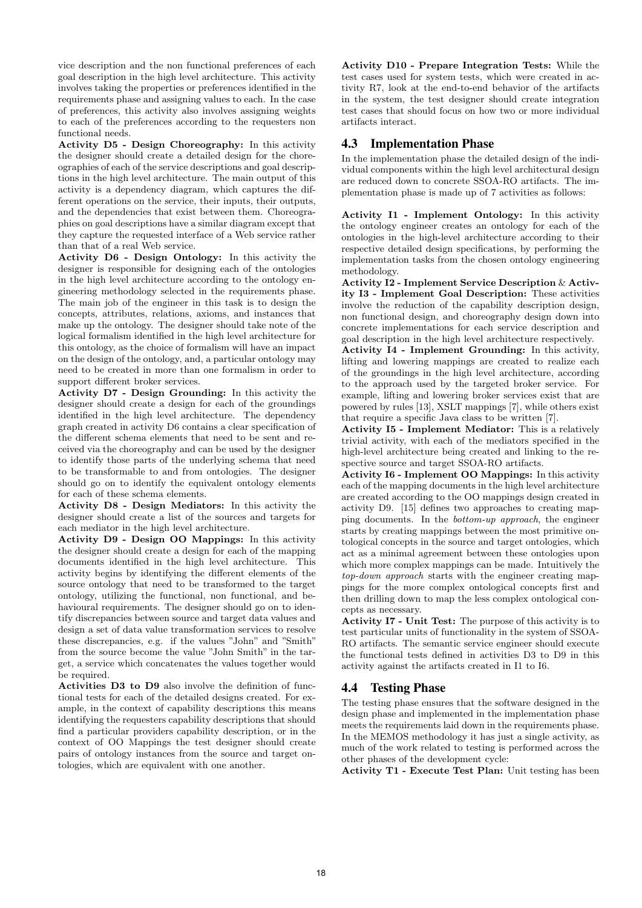vice description and the non functional preferences of each goal description in the high level architecture. This activity involves taking the properties or preferences identified in the requirements phase and assigning values to each. In the case of preferences, this activity also involves assigning weights to each of the preferences according to the requesters non functional needs.

Activity D5 - Design Choreography: In this activity the designer should create a detailed design for the choreographies of each of the service descriptions and goal descriptions in the high level architecture. The main output of this activity is a dependency diagram, which captures the different operations on the service, their inputs, their outputs, and the dependencies that exist between them. Choreographies on goal descriptions have a similar diagram except that they capture the requested interface of a Web service rather than that of a real Web service.

Activity D6 - Design Ontology: In this activity the designer is responsible for designing each of the ontologies in the high level architecture according to the ontology engineering methodology selected in the requirements phase. The main job of the engineer in this task is to design the concepts, attributes, relations, axioms, and instances that make up the ontology. The designer should take note of the logical formalism identified in the high level architecture for this ontology, as the choice of formalism will have an impact on the design of the ontology, and, a particular ontology may need to be created in more than one formalism in order to support different broker services.

Activity D7 - Design Grounding: In this activity the designer should create a design for each of the groundings identified in the high level architecture. The dependency graph created in activity D6 contains a clear specification of the different schema elements that need to be sent and received via the choreography and can be used by the designer to identify those parts of the underlying schema that need to be transformable to and from ontologies. The designer should go on to identify the equivalent ontology elements for each of these schema elements.

Activity D8 - Design Mediators: In this activity the designer should create a list of the sources and targets for each mediator in the high level architecture.

Activity D9 - Design OO Mappings: In this activity the designer should create a design for each of the mapping documents identified in the high level architecture. This activity begins by identifying the different elements of the source ontology that need to be transformed to the target ontology, utilizing the functional, non functional, and behavioural requirements. The designer should go on to identify discrepancies between source and target data values and design a set of data value transformation services to resolve these discrepancies, e.g. if the values "John" and "Smith" from the source become the value "John Smith" in the target, a service which concatenates the values together would be required.

Activities D3 to D9 also involve the definition of functional tests for each of the detailed designs created. For example, in the context of capability descriptions this means identifying the requesters capability descriptions that should find a particular providers capability description, or in the context of OO Mappings the test designer should create pairs of ontology instances from the source and target ontologies, which are equivalent with one another.

Activity D10 - Prepare Integration Tests: While the test cases used for system tests, which were created in activity R7, look at the end-to-end behavior of the artifacts in the system, the test designer should create integration test cases that should focus on how two or more individual artifacts interact.

## 4.3 Implementation Phase

In the implementation phase the detailed design of the individual components within the high level architectural design are reduced down to concrete SSOA-RO artifacts. The implementation phase is made up of 7 activities as follows:

Activity I1 - Implement Ontology: In this activity the ontology engineer creates an ontology for each of the ontologies in the high-level architecture according to their respective detailed design specifications, by performing the implementation tasks from the chosen ontology engineering methodology.

Activity I2 - Implement Service Description & Activity I3 - Implement Goal Description: These activities involve the reduction of the capability description design, non functional design, and choreography design down into concrete implementations for each service description and goal description in the high level architecture respectively.

Activity I4 - Implement Grounding: In this activity, lifting and lowering mappings are created to realize each of the groundings in the high level architecture, according to the approach used by the targeted broker service. For example, lifting and lowering broker services exist that are powered by rules [13], XSLT mappings [7], while others exist that require a specific Java class to be written [7].

Activity I5 - Implement Mediator: This is a relatively trivial activity, with each of the mediators specified in the high-level architecture being created and linking to the respective source and target SSOA-RO artifacts.

Activity I6 - Implement OO Mappings: In this activity each of the mapping documents in the high level architecture are created according to the OO mappings design created in activity D9. [15] defines two approaches to creating mapping documents. In the bottom-up approach, the engineer starts by creating mappings between the most primitive ontological concepts in the source and target ontologies, which act as a minimal agreement between these ontologies upon which more complex mappings can be made. Intuitively the top-down approach starts with the engineer creating mappings for the more complex ontological concepts first and then drilling down to map the less complex ontological concepts as necessary.

Activity I7 - Unit Test: The purpose of this activity is to test particular units of functionality in the system of SSOA-RO artifacts. The semantic service engineer should execute the functional tests defined in activities D3 to D9 in this activity against the artifacts created in I1 to I6.

## 4.4 Testing Phase

The testing phase ensures that the software designed in the design phase and implemented in the implementation phase meets the requirements laid down in the requirements phase. In the MEMOS methodology it has just a single activity, as much of the work related to testing is performed across the other phases of the development cycle:

Activity T1 - Execute Test Plan: Unit testing has been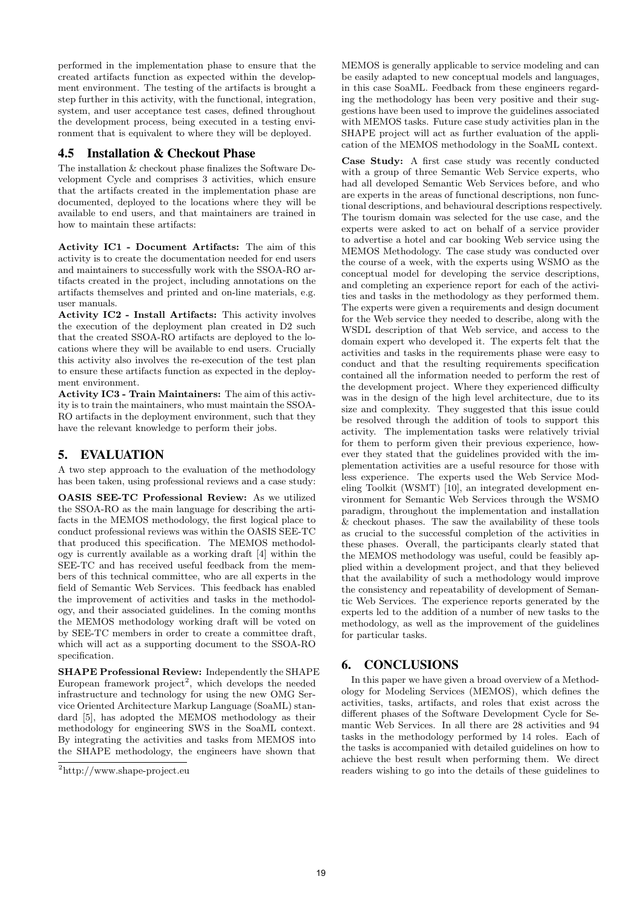performed in the implementation phase to ensure that the created artifacts function as expected within the development environment. The testing of the artifacts is brought a step further in this activity, with the functional, integration, system, and user acceptance test cases, defined throughout the development process, being executed in a testing environment that is equivalent to where they will be deployed.

# 4.5 Installation & Checkout Phase

The installation & checkout phase finalizes the Software Development Cycle and comprises 3 activities, which ensure that the artifacts created in the implementation phase are documented, deployed to the locations where they will be available to end users, and that maintainers are trained in how to maintain these artifacts:

Activity IC1 - Document Artifacts: The aim of this activity is to create the documentation needed for end users and maintainers to successfully work with the SSOA-RO artifacts created in the project, including annotations on the artifacts themselves and printed and on-line materials, e.g. user manuals.

Activity IC2 - Install Artifacts: This activity involves the execution of the deployment plan created in D2 such that the created SSOA-RO artifacts are deployed to the locations where they will be available to end users. Crucially this activity also involves the re-execution of the test plan to ensure these artifacts function as expected in the deployment environment.

Activity IC3 - Train Maintainers: The aim of this activity is to train the maintainers, who must maintain the SSOA-RO artifacts in the deployment environment, such that they have the relevant knowledge to perform their jobs.

# 5. EVALUATION

A two step approach to the evaluation of the methodology has been taken, using professional reviews and a case study:

OASIS SEE-TC Professional Review: As we utilized the SSOA-RO as the main language for describing the artifacts in the MEMOS methodology, the first logical place to conduct professional reviews was within the OASIS SEE-TC that produced this specification. The MEMOS methodology is currently available as a working draft [4] within the SEE-TC and has received useful feedback from the members of this technical committee, who are all experts in the field of Semantic Web Services. This feedback has enabled the improvement of activities and tasks in the methodology, and their associated guidelines. In the coming months the MEMOS methodology working draft will be voted on by SEE-TC members in order to create a committee draft, which will act as a supporting document to the SSOA-RO specification.

SHAPE Professional Review: Independently the SHAPE European framework project<sup>2</sup>, which develops the needed infrastructure and technology for using the new OMG Service Oriented Architecture Markup Language (SoaML) standard [5], has adopted the MEMOS methodology as their methodology for engineering SWS in the SoaML context. By integrating the activities and tasks from MEMOS into the SHAPE methodology, the engineers have shown that

MEMOS is generally applicable to service modeling and can be easily adapted to new conceptual models and languages, in this case SoaML. Feedback from these engineers regarding the methodology has been very positive and their suggestions have been used to improve the guidelines associated with MEMOS tasks. Future case study activities plan in the SHAPE project will act as further evaluation of the application of the MEMOS methodology in the SoaML context.

Case Study: A first case study was recently conducted with a group of three Semantic Web Service experts, who had all developed Semantic Web Services before, and who are experts in the areas of functional descriptions, non functional descriptions, and behavioural descriptions respectively. The tourism domain was selected for the use case, and the experts were asked to act on behalf of a service provider to advertise a hotel and car booking Web service using the MEMOS Methodology. The case study was conducted over the course of a week, with the experts using WSMO as the conceptual model for developing the service descriptions, and completing an experience report for each of the activities and tasks in the methodology as they performed them. The experts were given a requirements and design document for the Web service they needed to describe, along with the WSDL description of that Web service, and access to the domain expert who developed it. The experts felt that the activities and tasks in the requirements phase were easy to conduct and that the resulting requirements specification contained all the information needed to perform the rest of the development project. Where they experienced difficulty was in the design of the high level architecture, due to its size and complexity. They suggested that this issue could be resolved through the addition of tools to support this activity. The implementation tasks were relatively trivial for them to perform given their previous experience, however they stated that the guidelines provided with the implementation activities are a useful resource for those with less experience. The experts used the Web Service Modeling Toolkit (WSMT) [10], an integrated development environment for Semantic Web Services through the WSMO paradigm, throughout the implementation and installation & checkout phases. The saw the availability of these tools as crucial to the successful completion of the activities in these phases. Overall, the participants clearly stated that the MEMOS methodology was useful, could be feasibly applied within a development project, and that they believed that the availability of such a methodology would improve the consistency and repeatability of development of Semantic Web Services. The experience reports generated by the experts led to the addition of a number of new tasks to the methodology, as well as the improvement of the guidelines for particular tasks.

## 6. CONCLUSIONS

In this paper we have given a broad overview of a Methodology for Modeling Services (MEMOS), which defines the activities, tasks, artifacts, and roles that exist across the different phases of the Software Development Cycle for Semantic Web Services. In all there are 28 activities and 94 tasks in the methodology performed by 14 roles. Each of the tasks is accompanied with detailed guidelines on how to achieve the best result when performing them. We direct readers wishing to go into the details of these guidelines to

<sup>2</sup>http://www.shape-project.eu